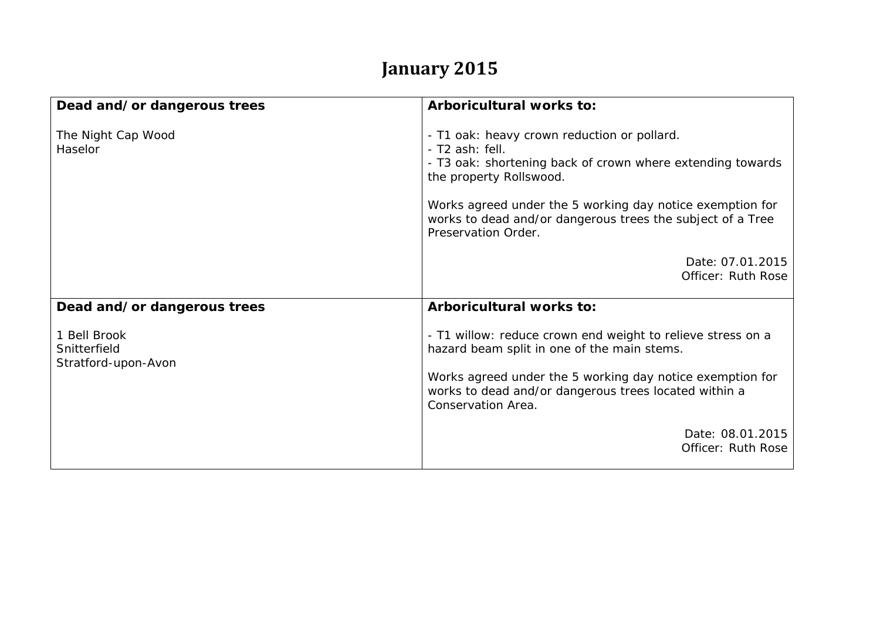## **January 2015**

| Dead and/or dangerous trees                         | Arboricultural works to:                                                                                                                                                                                                                               |
|-----------------------------------------------------|--------------------------------------------------------------------------------------------------------------------------------------------------------------------------------------------------------------------------------------------------------|
| The Night Cap Wood<br>Haselor                       | - T1 oak: heavy crown reduction or pollard.<br>- T2 ash: fell.<br>- T3 oak: shortening back of crown where extending towards<br>the property Rollswood.                                                                                                |
|                                                     | Works agreed under the 5 working day notice exemption for<br>works to dead and/or dangerous trees the subject of a Tree<br>Preservation Order.                                                                                                         |
|                                                     | Date: 07.01.2015<br>Officer: Ruth Rose                                                                                                                                                                                                                 |
| Dead and/or dangerous trees                         | Arboricultural works to:                                                                                                                                                                                                                               |
| 1 Bell Brook<br>Snitterfield<br>Stratford-upon-Avon | - T1 willow: reduce crown end weight to relieve stress on a<br>hazard beam split in one of the main stems.<br>Works agreed under the 5 working day notice exemption for<br>works to dead and/or dangerous trees located within a<br>Conservation Area. |
|                                                     | Date: 08.01.2015<br>Officer: Ruth Rose                                                                                                                                                                                                                 |